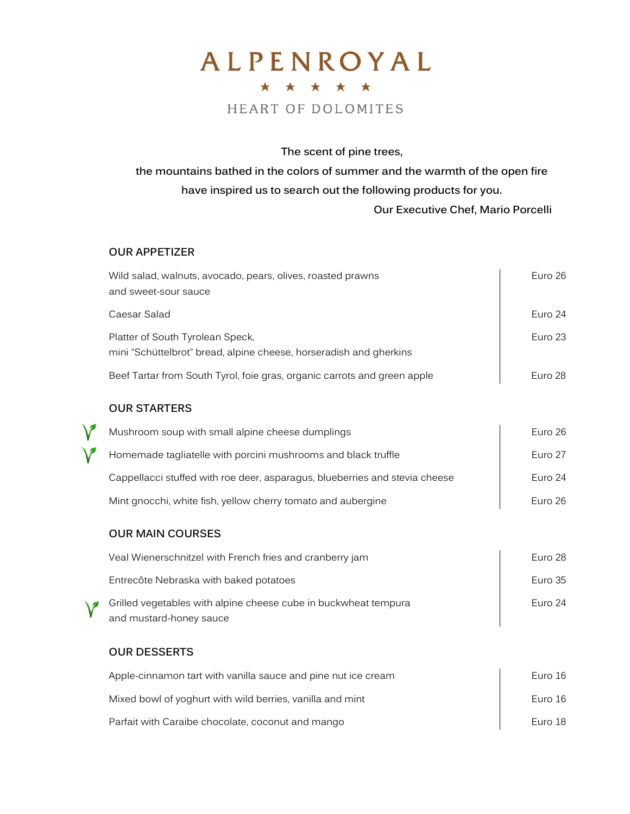## ALPENROYAL \* \* \* \* \* HEART OF DOLOMITES

The scent of pine trees,

the mountains bathed in the colors of summer and the warmth of the open fire have inspired us to search out the following products for you. Our Executive Chef, Mario Porcelli

## OUR APPETIZER

|   | Wild salad, walnuts, avocado, pears, olives, roasted prawns<br>and sweet-sour sauce                    | Euro 26 |
|---|--------------------------------------------------------------------------------------------------------|---------|
|   | Caesar Salad                                                                                           | Euro 24 |
|   | Platter of South Tyrolean Speck,<br>mini "Schüttelbrot" bread, alpine cheese, horseradish and gherkins | Euro 23 |
|   | Beef Tartar from South Tyrol, foie gras, organic carrots and green apple                               | Euro 28 |
|   | <b>OUR STARTERS</b>                                                                                    |         |
|   | Mushroom soup with small alpine cheese dumplings                                                       | Euro 26 |
| V | Homemade tagliatelle with porcini mushrooms and black truffle                                          | Euro 27 |
|   | Cappellacci stuffed with roe deer, asparagus, blueberries and stevia cheese                            | Euro 24 |
|   | Mint gnocchi, white fish, yellow cherry tomato and aubergine                                           | Euro 26 |
|   | <b>OUR MAIN COURSES</b>                                                                                |         |
|   | Veal Wienerschnitzel with French fries and cranberry jam                                               | Euro 28 |
|   | Entrecôte Nebraska with baked potatoes                                                                 | Euro 35 |
|   | Grilled vegetables with alpine cheese cube in buckwheat tempura<br>and mustard-honey sauce             | Euro 24 |
|   | <b>OUR DESSERTS</b>                                                                                    |         |
|   | Apple-cinnamon tart with vanilla sauce and pine nut ice cream                                          | Euro 16 |
|   | Mixed bowl of yoghurt with wild berries, vanilla and mint                                              | Euro 16 |
|   | Parfait with Caraibe chocolate, coconut and mango                                                      | Euro 18 |